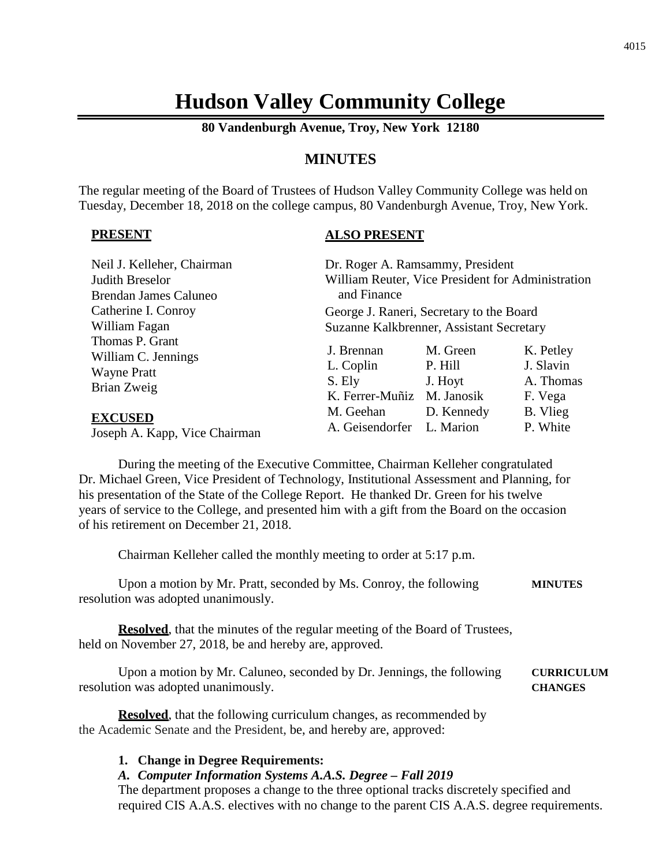# **Hudson Valley Community College**

**80 Vandenburgh Avenue, Troy, New York 12180**

# **MINUTES**

The regular meeting of the Board of Trustees of Hudson Valley Community College was held on Tuesday, December 18, 2018 on the college campus, 80 Vandenburgh Avenue, Troy, New York.

#### **PRESENT**

## **ALSO PRESENT**

| Neil J. Kelleher, Chairman<br>Judith Breselor<br>Brendan James Caluneo      | and Finance                                                     | Dr. Roger A. Ramsammy, President<br>William Reuter, Vice President for Administration |                                                |
|-----------------------------------------------------------------------------|-----------------------------------------------------------------|---------------------------------------------------------------------------------------|------------------------------------------------|
| Catherine I. Conroy                                                         | George J. Raneri, Secretary to the Board                        |                                                                                       |                                                |
| William Fagan                                                               | Suzanne Kalkbrenner, Assistant Secretary                        |                                                                                       |                                                |
| Thomas P. Grant<br>William C. Jennings<br><b>Wayne Pratt</b><br>Brian Zweig | J. Brennan<br>L. Coplin<br>S. Ely<br>K. Ferrer-Muñiz M. Janosik | M. Green<br>P. Hill<br>J. Hoyt                                                        | K. Petley<br>J. Slavin<br>A. Thomas<br>F. Vega |
| <b>EXCUSED</b>                                                              | M. Geehan                                                       | D. Kennedy                                                                            | B. Vlieg                                       |
| Joseph A. Kapp. Vice Chairman                                               | A. Geisendorfer                                                 | L. Marion                                                                             | P. White                                       |

Joseph A. Kapp, Vice Chairman

During the meeting of the Executive Committee, Chairman Kelleher congratulated Dr. Michael Green, Vice President of Technology, Institutional Assessment and Planning, for his presentation of the State of the College Report. He thanked Dr. Green for his twelve years of service to the College, and presented him with a gift from the Board on the occasion of his retirement on December 21, 2018.

Chairman Kelleher called the monthly meeting to order at 5:17 p.m.

| Upon a motion by Mr. Pratt, seconded by Ms. Conroy, the following | <b>MINUTES</b> |
|-------------------------------------------------------------------|----------------|
| resolution was adopted unanimously.                               |                |

**Resolved**, that the minutes of the regular meeting of the Board of Trustees, held on November 27, 2018, be and hereby are, approved.

Upon a motion by Mr. Caluneo, seconded by Dr. Jennings, the following **CURRICULUM** resolution was adopted unanimously. **CHANGES**

**Resolved**, that the following curriculum changes, as recommended by the Academic Senate and the President, be, and hereby are, approved:

#### **1. Change in Degree Requirements:**

## *A. Computer Information Systems A.A.S. Degree – Fall 2019*

The department proposes a change to the three optional tracks discretely specified and required CIS A.A.S. electives with no change to the parent CIS A.A.S. degree requirements.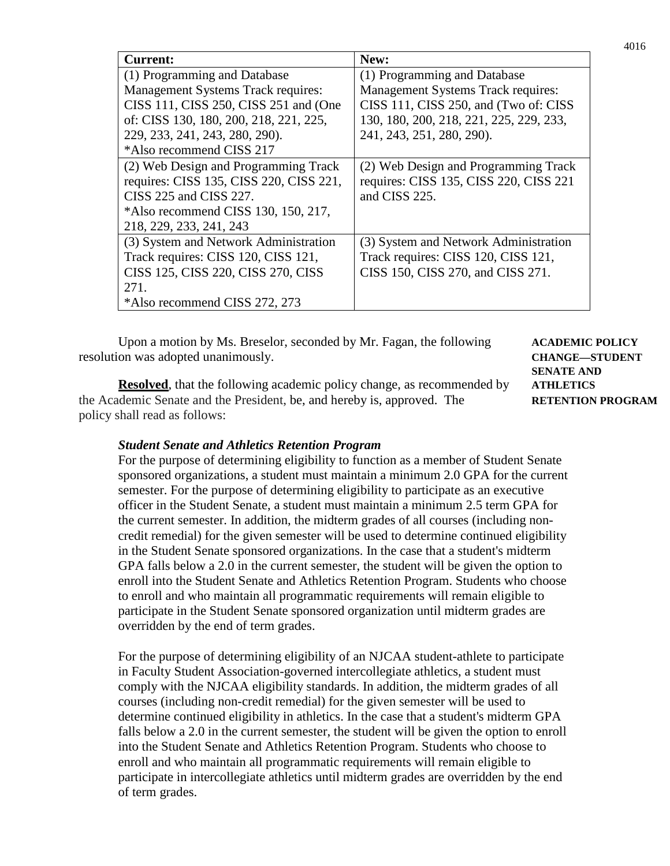| <b>Current:</b>                           | New:                                      |
|-------------------------------------------|-------------------------------------------|
| (1) Programming and Database              | (1) Programming and Database              |
| <b>Management Systems Track requires:</b> | <b>Management Systems Track requires:</b> |
| CISS 111, CISS 250, CISS 251 and (One     | CISS 111, CISS 250, and (Two of: CISS     |
| of: CISS 130, 180, 200, 218, 221, 225,    | 130, 180, 200, 218, 221, 225, 229, 233,   |
| 229, 233, 241, 243, 280, 290).            | 241, 243, 251, 280, 290).                 |
| *Also recommend CISS 217                  |                                           |
| (2) Web Design and Programming Track      | (2) Web Design and Programming Track      |
| requires: CISS 135, CISS 220, CISS 221,   | requires: CISS 135, CISS 220, CISS 221    |
| CISS 225 and CISS 227.                    | and CISS 225.                             |
| *Also recommend CISS 130, 150, 217,       |                                           |
| 218, 229, 233, 241, 243                   |                                           |
| (3) System and Network Administration     | (3) System and Network Administration     |
| Track requires: CISS 120, CISS 121,       | Track requires: CISS 120, CISS 121,       |
| CISS 125, CISS 220, CISS 270, CISS        | CISS 150, CISS 270, and CISS 271.         |
| 271.                                      |                                           |
| *Also recommend CISS 272, 273             |                                           |

Upon a motion by Ms. Breselor, seconded by Mr. Fagan, the following **ACADEMIC POLICY** resolution was adopted unanimously. **CHANGE—STUDENT**

**Resolved**, that the following academic policy change, as recommended by **ATHLETICS** the Academic Senate and the President, be, and hereby is, approved. The **RETENTION PROGRAM** policy shall read as follows:

**SENATE AND**

#### *Student Senate and Athletics Retention Program*

For the purpose of determining eligibility to function as a member of Student Senate sponsored organizations, a student must maintain a minimum 2.0 GPA for the current semester. For the purpose of determining eligibility to participate as an executive officer in the Student Senate, a student must maintain a minimum 2.5 term GPA for the current semester. In addition, the midterm grades of all courses (including noncredit remedial) for the given semester will be used to determine continued eligibility in the Student Senate sponsored organizations. In the case that a student's midterm GPA falls below a 2.0 in the current semester, the student will be given the option to enroll into the Student Senate and Athletics Retention Program. Students who choose to enroll and who maintain all programmatic requirements will remain eligible to participate in the Student Senate sponsored organization until midterm grades are overridden by the end of term grades.

For the purpose of determining eligibility of an NJCAA student-athlete to participate in Faculty Student Association-governed intercollegiate athletics, a student must comply with the NJCAA eligibility standards. In addition, the midterm grades of all courses (including non-credit remedial) for the given semester will be used to determine continued eligibility in athletics. In the case that a student's midterm GPA falls below a 2.0 in the current semester, the student will be given the option to enroll into the Student Senate and Athletics Retention Program. Students who choose to enroll and who maintain all programmatic requirements will remain eligible to participate in intercollegiate athletics until midterm grades are overridden by the end of term grades.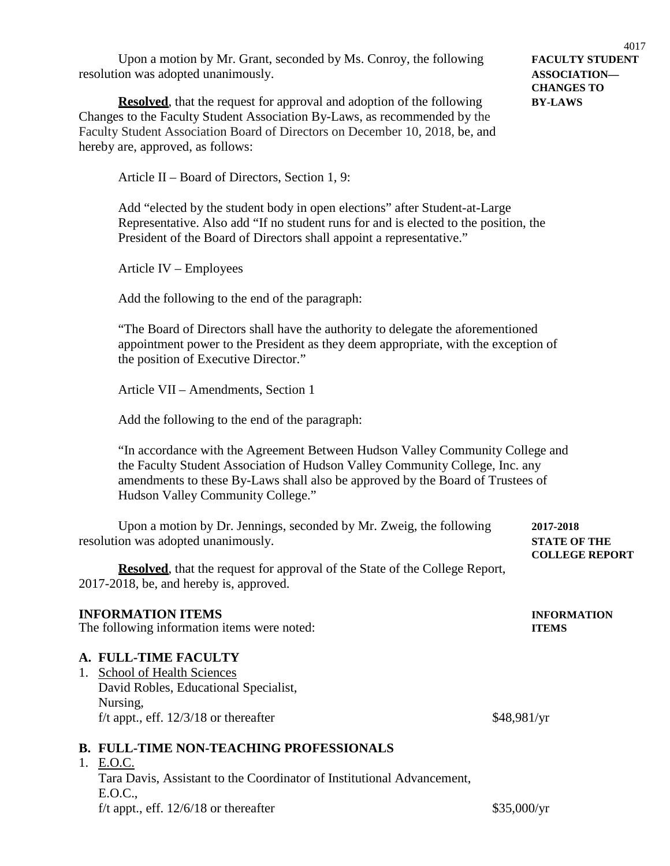Upon a motion by Mr. Grant, seconded by Ms. Conroy, the following **FACULTY STUDENT** resolution was adopted unanimously. **ASSOCIATION—**

**Resolved**, that the request for approval and adoption of the following **BY-LAWS** Changes to the Faculty Student Association By-Laws, as recommended by the Faculty Student Association Board of Directors on December 10, 2018, be, and hereby are, approved, as follows:

4017 **CHANGES TO**

Article II – Board of Directors, Section 1, 9:

Add "elected by the student body in open elections" after Student-at-Large Representative. Also add "If no student runs for and is elected to the position, the President of the Board of Directors shall appoint a representative."

Article IV – Employees

Add the following to the end of the paragraph:

"The Board of Directors shall have the authority to delegate the aforementioned appointment power to the President as they deem appropriate, with the exception of the position of Executive Director."

Article VII – Amendments, Section 1

Add the following to the end of the paragraph:

"In accordance with the Agreement Between Hudson Valley Community College and the Faculty Student Association of Hudson Valley Community College, Inc. any amendments to these By-Laws shall also be approved by the Board of Trustees of Hudson Valley Community College."

Upon a motion by Dr. Jennings, seconded by Mr. Zweig, the following **2017-2018** resolution was adopted unanimously. **STATE OF THE COLLEGE REPORT**

**Resolved**, that the request for approval of the State of the College Report, 2017-2018, be, and hereby is, approved.

## **INFORMATION ITEMS INFORMATION**

The following information items were noted: **ITEMS**

#### **A. FULL-TIME FACULTY**

1. School of Health Sciences David Robles, Educational Specialist, Nursing, f/t appt., eff.  $12/3/18$  or thereafter \$48,981/yr

#### **B. FULL-TIME NON-TEACHING PROFESSIONALS**

1. E.O.C.

Tara Davis, Assistant to the Coordinator of Institutional Advancement, E.O.C., f/t appt., eff.  $12/6/18$  or thereafter \$35,000/yr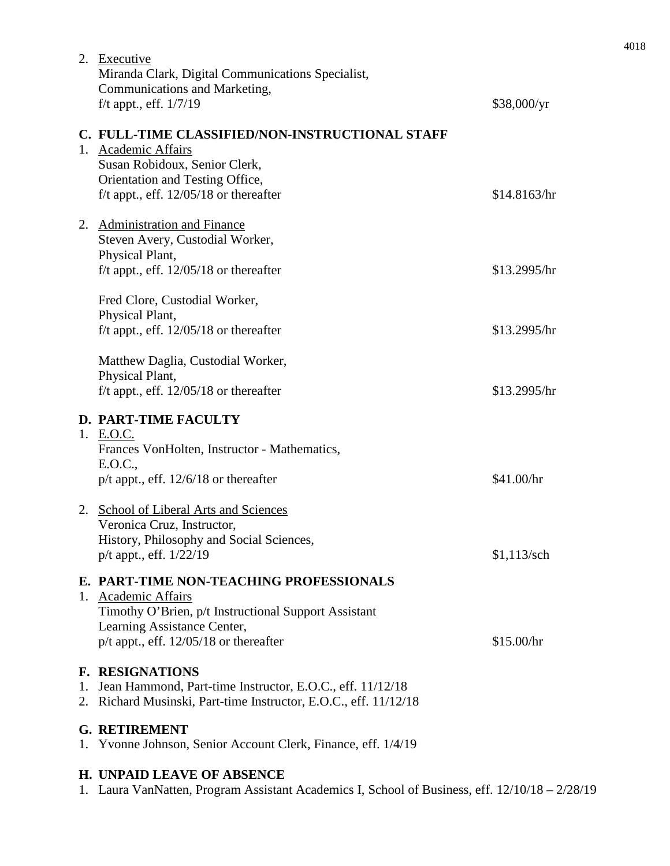|    | Fred Clore, Custodial Worker,<br>Physical Plant,                                                                                                                                                  |               |  |  |
|----|---------------------------------------------------------------------------------------------------------------------------------------------------------------------------------------------------|---------------|--|--|
|    | f/t appt., eff. $12/05/18$ or thereafter<br>Matthew Daglia, Custodial Worker,                                                                                                                     | \$13.2995/hr  |  |  |
|    | Physical Plant,<br>f/t appt., eff. $12/05/18$ or thereafter                                                                                                                                       | \$13.2995/hr  |  |  |
|    | <b>D. PART-TIME FACULTY</b><br>1. E.O.C.<br>Frances VonHolten, Instructor - Mathematics,<br>E.O.C.,<br>$p/t$ appt., eff. 12/6/18 or thereafter                                                    | \$41.00/hr    |  |  |
|    | 2. School of Liberal Arts and Sciences<br>Veronica Cruz, Instructor,<br>History, Philosophy and Social Sciences<br>p/t appt., eff. 1/22/19                                                        | $$1,113$ /sch |  |  |
|    | E. PART-TIME NON-TEACHING PROFESSIONALS<br>1. Academic Affairs<br>Timothy O'Brien, p/t Instructional Support Assistant<br>Learning Assistance Center,<br>$p/t$ appt., eff. 12/05/18 or thereafter | \$15.00/hr    |  |  |
|    | <b>F. RESIGNATIONS</b><br>1. Jean Hammond, Part-time Instructor, E.O.C., eff. 11/12/18<br>2. Richard Musinski, Part-time Instructor, E.O.C., eff. 11/12/18                                        |               |  |  |
| 1. | <b>G. RETIREMENT</b><br>Yvonne Johnson, Senior Account Clerk, Finance, eff. 1/4/19                                                                                                                |               |  |  |
|    | <b>H. UNPAID LEAVE OF ABSENCE</b><br>1. Laura VanNatten, Program Assistant Academics I, School of Business, eff. 12/10/18 - 2/28/19                                                               |               |  |  |